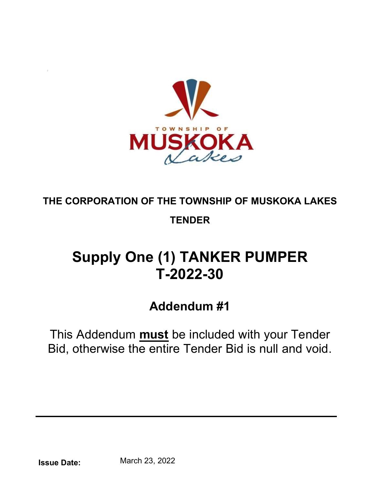

## THE CORPORATION OF THE TOWNSHIP OF MUSKOKA LAKES **TENDER**

## **Supply One (1) TANKER PUMPER T-2022-30**

## Addendum #1

This Addendum **must** be included with your Tender Bid, otherwise the entire Tender Bid is null and void.

Issue Date: March 23, 2022